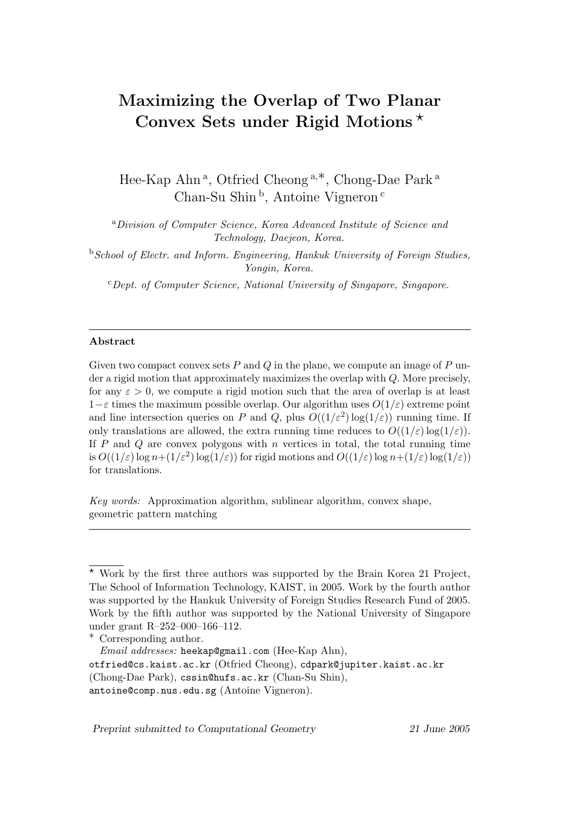# Maximizing the Overlap of Two Planar Convex Sets under Rigid Motions ?

Hee-Kap Ahn<sup>a</sup>, Otfried Cheong<sup>a,\*</sup>, Chong-Dae Park<sup>a</sup> Chan-Su Shin<sup>b</sup>, Antoine Vigneron<sup>c</sup>

<sup>a</sup>Division of Computer Science, Korea Advanced Institute of Science and Technology, Daejeon, Korea.

<sup>b</sup> School of Electr. and Inform. Engineering, Hankuk University of Foreign Studies, Yongin, Korea.

 $c$  Dept. of Computer Science, National University of Singapore, Singapore.

#### Abstract

Given two compact convex sets  $P$  and  $Q$  in the plane, we compute an image of  $P$  under a rigid motion that approximately maximizes the overlap with Q. More precisely, for any  $\varepsilon > 0$ , we compute a rigid motion such that the area of overlap is at least  $1-\varepsilon$  times the maximum possible overlap. Our algorithm uses  $O(1/\varepsilon)$  extreme point and line intersection queries on P and Q, plus  $O((1/\varepsilon^2) \log(1/\varepsilon))$  running time. If only translations are allowed, the extra running time reduces to  $O((1/\varepsilon)\log(1/\varepsilon))$ . If  $P$  and  $Q$  are convex polygons with  $n$  vertices in total, the total running time is  $O((1/\varepsilon) \log n + (1/\varepsilon^2) \log(1/\varepsilon))$  for rigid motions and  $O((1/\varepsilon) \log n + (1/\varepsilon) \log(1/\varepsilon))$ for translations.

Key words: Approximation algorithm, sublinear algorithm, convex shape, geometric pattern matching

Preprint submitted to Computational Geometry 21 June 2005

 $*$  Work by the first three authors was supported by the Brain Korea 21 Project, The School of Information Technology, KAIST, in 2005. Work by the fourth author was supported by the Hankuk University of Foreign Studies Research Fund of 2005. Work by the fifth author was supported by the National University of Singapore under grant R–252–000–166–112.

<sup>∗</sup> Corresponding author.

Email addresses: heekap@gmail.com (Hee-Kap Ahn),

otfried@cs.kaist.ac.kr (Otfried Cheong), cdpark@jupiter.kaist.ac.kr (Chong-Dae Park), cssin@hufs.ac.kr (Chan-Su Shin),

antoine@comp.nus.edu.sg (Antoine Vigneron).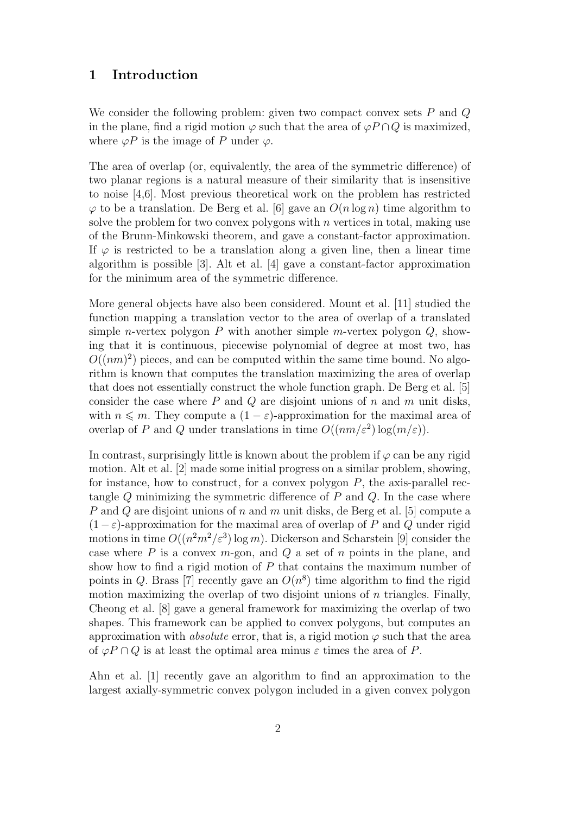## 1 Introduction

We consider the following problem: given two compact convex sets  $P$  and  $Q$ in the plane, find a rigid motion  $\varphi$  such that the area of  $\varphi P \cap Q$  is maximized, where  $\varphi P$  is the image of P under  $\varphi$ .

The area of overlap (or, equivalently, the area of the symmetric difference) of two planar regions is a natural measure of their similarity that is insensitive to noise [4,6]. Most previous theoretical work on the problem has restricted  $\varphi$  to be a translation. De Berg et al. [6] gave an  $O(n \log n)$  time algorithm to solve the problem for two convex polygons with  $n$  vertices in total, making use of the Brunn-Minkowski theorem, and gave a constant-factor approximation. If  $\varphi$  is restricted to be a translation along a given line, then a linear time algorithm is possible [3]. Alt et al. [4] gave a constant-factor approximation for the minimum area of the symmetric difference.

More general objects have also been considered. Mount et al. [11] studied the function mapping a translation vector to the area of overlap of a translated simple *n*-vertex polygon  $P$  with another simple *m*-vertex polygon  $Q$ , showing that it is continuous, piecewise polynomial of degree at most two, has  $O((nm)^2)$  pieces, and can be computed within the same time bound. No algorithm is known that computes the translation maximizing the area of overlap that does not essentially construct the whole function graph. De Berg et al. [5] consider the case where  $P$  and  $Q$  are disjoint unions of  $n$  and  $m$  unit disks, with  $n \leq m$ . They compute a  $(1 - \varepsilon)$ -approximation for the maximal area of overlap of P and Q under translations in time  $O((nm/\varepsilon^2) \log(m/\varepsilon)).$ 

In contrast, surprisingly little is known about the problem if  $\varphi$  can be any rigid motion. Alt et al. [2] made some initial progress on a similar problem, showing, for instance, how to construct, for a convex polygon  $P$ , the axis-parallel rectangle  $Q$  minimizing the symmetric difference of  $P$  and  $Q$ . In the case where P and Q are disjoint unions of n and m unit disks, de Berg et al. [5] compute a  $(1-\varepsilon)$ -approximation for the maximal area of overlap of P and Q under rigid motions in time  $O((n^2m^2/\varepsilon^3) \log m)$ . Dickerson and Scharstein [9] consider the case where  $P$  is a convex  $m$ -gon, and  $Q$  a set of  $n$  points in the plane, and show how to find a rigid motion of  $P$  that contains the maximum number of points in Q. Brass [7] recently gave an  $O(n^8)$  time algorithm to find the rigid motion maximizing the overlap of two disjoint unions of  $n$  triangles. Finally, Cheong et al. [8] gave a general framework for maximizing the overlap of two shapes. This framework can be applied to convex polygons, but computes an approximation with *absolute* error, that is, a rigid motion  $\varphi$  such that the area of  $\varphi P \cap Q$  is at least the optimal area minus  $\varepsilon$  times the area of P.

Ahn et al. [1] recently gave an algorithm to find an approximation to the largest axially-symmetric convex polygon included in a given convex polygon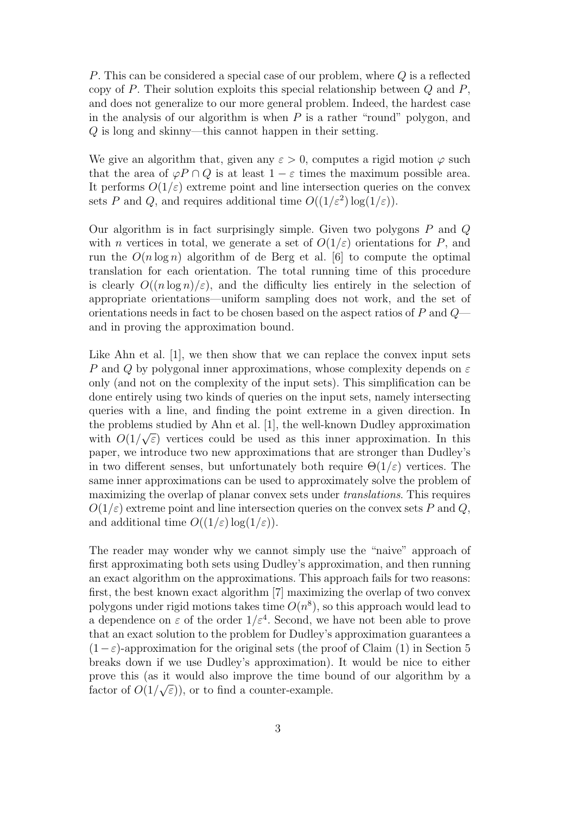P. This can be considered a special case of our problem, where Q is a reflected copy of  $P$ . Their solution exploits this special relationship between  $Q$  and  $P$ , and does not generalize to our more general problem. Indeed, the hardest case in the analysis of our algorithm is when  $P$  is a rather "round" polygon, and Q is long and skinny—this cannot happen in their setting.

We give an algorithm that, given any  $\varepsilon > 0$ , computes a rigid motion  $\varphi$  such that the area of  $\varphi P \cap Q$  is at least  $1 - \varepsilon$  times the maximum possible area. It performs  $O(1/\varepsilon)$  extreme point and line intersection queries on the convex sets P and Q, and requires additional time  $O((1/\varepsilon^2) \log(1/\varepsilon))$ .

Our algorithm is in fact surprisingly simple. Given two polygons  $P$  and  $Q$ with *n* vertices in total, we generate a set of  $O(1/\varepsilon)$  orientations for P, and run the  $O(n \log n)$  algorithm of de Berg et al. [6] to compute the optimal translation for each orientation. The total running time of this procedure is clearly  $O((n \log n)/\varepsilon)$ , and the difficulty lies entirely in the selection of appropriate orientations—uniform sampling does not work, and the set of orientations needs in fact to be chosen based on the aspect ratios of P and Q and in proving the approximation bound.

Like Ahn et al. [1], we then show that we can replace the convex input sets P and Q by polygonal inner approximations, whose complexity depends on  $\varepsilon$ only (and not on the complexity of the input sets). This simplification can be done entirely using two kinds of queries on the input sets, namely intersecting queries with a line, and finding the point extreme in a given direction. In the problems studied by Ahn et al. [1], the well-known Dudley approximation with  $O(1/\sqrt{\varepsilon})$  vertices could be used as this inner approximation. In this paper, we introduce two new approximations that are stronger than Dudley's in two different senses, but unfortunately both require  $\Theta(1/\varepsilon)$  vertices. The same inner approximations can be used to approximately solve the problem of maximizing the overlap of planar convex sets under translations. This requires  $O(1/\varepsilon)$  extreme point and line intersection queries on the convex sets P and Q, and additional time  $O((1/\varepsilon) \log(1/\varepsilon))$ .

The reader may wonder why we cannot simply use the "naive" approach of first approximating both sets using Dudley's approximation, and then running an exact algorithm on the approximations. This approach fails for two reasons: first, the best known exact algorithm [7] maximizing the overlap of two convex polygons under rigid motions takes time  $O(n^8)$ , so this approach would lead to a dependence on  $\varepsilon$  of the order  $1/\varepsilon^4$ . Second, we have not been able to prove that an exact solution to the problem for Dudley's approximation guarantees a  $(1-\varepsilon)$ -approximation for the original sets (the proof of Claim (1) in Section 5 breaks down if we use Dudley's approximation). It would be nice to either prove this (as it would also improve the time bound of our algorithm by a factor of  $O(1/\sqrt{\varepsilon})$ , or to find a counter-example.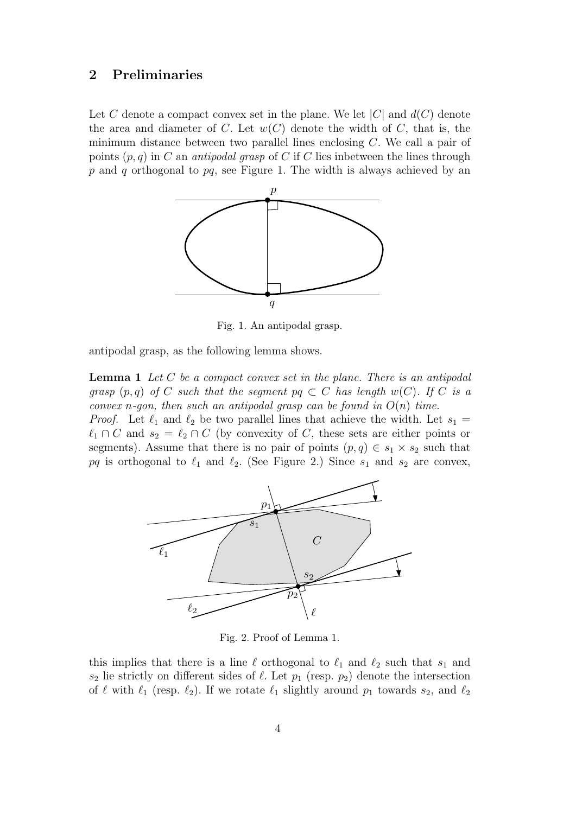# 2 Preliminaries

Let C denote a compact convex set in the plane. We let  $|C|$  and  $d(C)$  denote the area and diameter of C. Let  $w(C)$  denote the width of C, that is, the minimum distance between two parallel lines enclosing  $C$ . We call a pair of points  $(p, q)$  in C an *antipodal grasp* of C if C lies inbetween the lines through  $p$  and  $q$  orthogonal to  $pq$ , see Figure 1. The width is always achieved by an



Fig. 1. An antipodal grasp.

antipodal grasp, as the following lemma shows.

**Lemma 1** Let  $C$  be a compact convex set in the plane. There is an antipodal grasp  $(p,q)$  of C such that the segment  $pq \subset C$  has length  $w(C)$ . If C is a convex n-gon, then such an antipodal grasp can be found in  $O(n)$  time.

*Proof.* Let  $\ell_1$  and  $\ell_2$  be two parallel lines that achieve the width. Let  $s_1 =$  $\ell_1 \cap C$  and  $s_2 = \ell_2 \cap C$  (by convexity of C, these sets are either points or segments). Assume that there is no pair of points  $(p, q) \in s_1 \times s_2$  such that pq is orthogonal to  $\ell_1$  and  $\ell_2$ . (See Figure 2.) Since  $s_1$  and  $s_2$  are convex,



Fig. 2. Proof of Lemma 1.

this implies that there is a line  $\ell$  orthogonal to  $\ell_1$  and  $\ell_2$  such that  $s_1$  and  $s_2$  lie strictly on different sides of  $\ell$ . Let  $p_1$  (resp.  $p_2$ ) denote the intersection of  $\ell$  with  $\ell_1$  (resp.  $\ell_2$ ). If we rotate  $\ell_1$  slightly around  $p_1$  towards  $s_2$ , and  $\ell_2$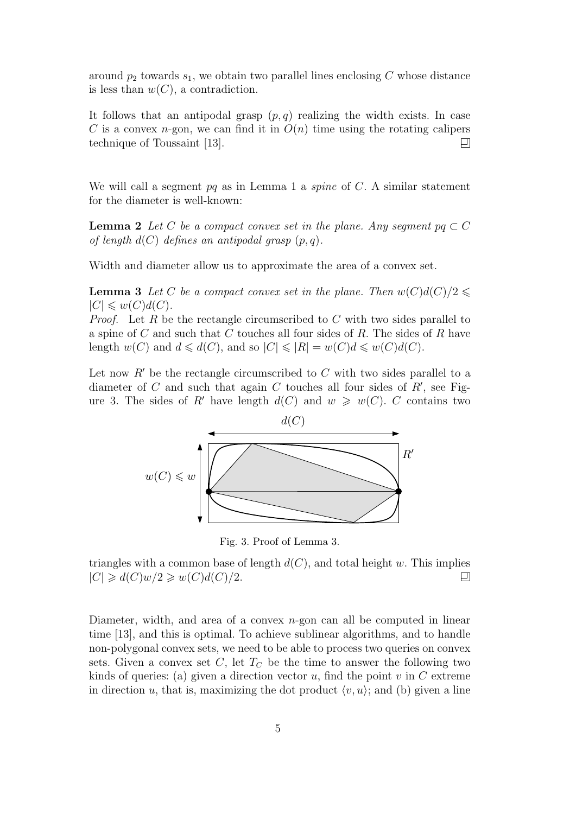around  $p_2$  towards  $s_1$ , we obtain two parallel lines enclosing C whose distance is less than  $w(C)$ , a contradiction.

It follows that an antipodal grasp  $(p, q)$  realizing the width exists. In case C is a convex *n*-gon, we can find it in  $O(n)$  time using the rotating calipers  $\Box$ technique of Toussaint [13].

We will call a segment  $pq$  as in Lemma 1 a *spine* of  $C$ . A similar statement for the diameter is well-known:

**Lemma 2** Let C be a compact convex set in the plane. Any segment  $pq \subset C$ of length  $d(C)$  defines an antipodal grasp  $(p, q)$ .

Width and diameter allow us to approximate the area of a convex set.

**Lemma 3** Let C be a compact convex set in the plane. Then  $w(C)d(C)/2 \leq$  $|C| \leqslant w(C)d(C).$ 

*Proof.* Let R be the rectangle circumscribed to C with two sides parallel to a spine of C and such that C touches all four sides of R. The sides of R have length  $w(C)$  and  $d \le d(C)$ , and so  $|C| \le |R| = w(C)d \le w(C)d(C)$ .

Let now  $R'$  be the rectangle circumscribed to C with two sides parallel to a diameter of  $C$  and such that again  $C$  touches all four sides of  $R'$ , see Figure 3. The sides of R' have length  $d(C)$  and  $w \geq w(C)$ . C contains two



Fig. 3. Proof of Lemma 3.

triangles with a common base of length  $d(C)$ , and total height w. This implies  $|C| \geq d(C)w/2 \geq w(C)d(C)/2.$  $\Box$ 

Diameter, width, and area of a convex  $n$ -gon can all be computed in linear time [13], and this is optimal. To achieve sublinear algorithms, and to handle non-polygonal convex sets, we need to be able to process two queries on convex sets. Given a convex set C, let  $T<sub>C</sub>$  be the time to answer the following two kinds of queries: (a) given a direction vector u, find the point v in  $C$  extreme in direction u, that is, maximizing the dot product  $\langle v, u \rangle$ ; and (b) given a line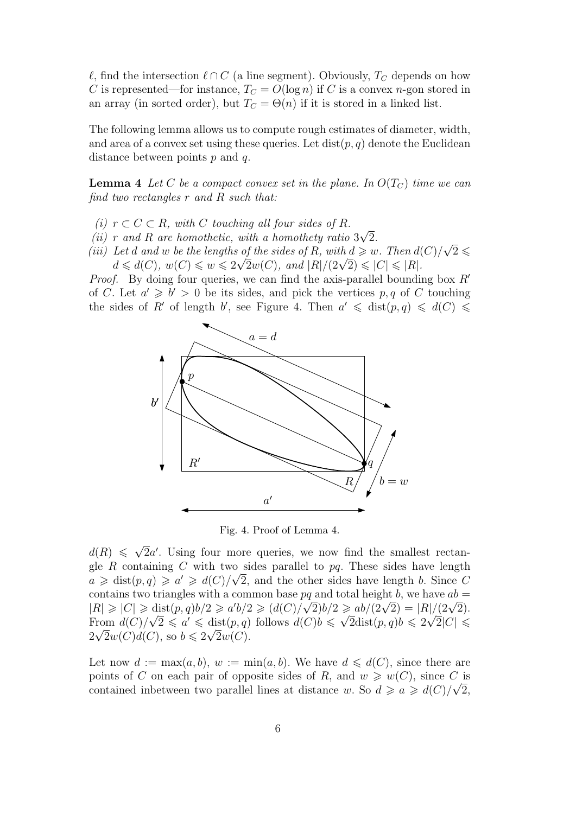$\ell$ , find the intersection  $\ell \cap C$  (a line segment). Obviously,  $T_C$  depends on how C is represented—for instance,  $T_C = O(\log n)$  if C is a convex n-gon stored in an array (in sorted order), but  $T_C = \Theta(n)$  if it is stored in a linked list.

The following lemma allows us to compute rough estimates of diameter, width, and area of a convex set using these queries. Let  $dist(p, q)$  denote the Euclidean distance between points  $p$  and  $q$ .

**Lemma 4** Let C be a compact convex set in the plane. In  $O(T_C)$  time we can find two rectangles  $r$  and  $R$  such that:

- (i)  $r \subset C \subset R$ , with C touching all four sides of R.
- $(ii)$  r and R are homothetic, with a homothety ratio 3 √ 2.
- (ii) r and R are nomothetic, with a nomothety ratio  $3\sqrt{2}$ .<br>(iii) Let d and w be the lengths of the sides of R, with  $d \geq w$ . Then  $d(C)/\sqrt{2} \leq$ Let a ana w be the tengths of the staes of R, with  $a \geqslant w$ . Then  $a_0$ <br> $d \leqslant d(C), w(C) \leqslant w \leqslant 2\sqrt{2}w(C),$  and  $|R|/(2\sqrt{2}) \leqslant |C| \leqslant |R|.$

*Proof.* By doing four queries, we can find the axis-parallel bounding box  $R'$ of C. Let  $a' \geq b' > 0$  be its sides, and pick the vertices p, q of C touching the sides of R' of length b', see Figure 4. Then  $a' \leq \text{dist}(p, q) \leq d(C) \leq$ 



Fig. 4. Proof of Lemma 4.

 $d(R) \leqslant \sqrt{2}$  $\overline{2}a'$ . Using four more queries, we now find the smallest rectangle R containing C with two sides parallel to pq. These sides have length  $a \geq \text{dist}(p, q) \geq a' \geq d(C)/\sqrt{2}$ , and the other sides have length b. Since C contains two triangles with a common base  $pq$  and total height b, we have  $ab =$ contains two triangles with a common base pq and total neight b, we have  $ab = |R| \geq |C| \geq \text{dist}(p, q)b/2 \geq a'b/2 \geq (d(C)/\sqrt{2})b/2 \geq ab/(2\sqrt{2}) = |R|/(2\sqrt{2}).$ From  $d(C)/\sqrt{2} \leq a' \leq \text{dist}(p,q)$  follows  $d(C)b \leq \sqrt{2}\text{dist}(p,q)b \leq 2\sqrt{2}|C| \leq$  $2\sqrt{2}w(C)d(C)$ , so  $b \leq 2\sqrt{2}w(C)$ .

Let now  $d := \max(a, b), w := \min(a, b)$ . We have  $d \leq d(C)$ , since there are points of C on each pair of opposite sides of R, and  $w \geq w(C)$ , since C is contained inbetween two parallel lines at distance w. So  $d \geq a \geq d(C)/\sqrt{2}$ ,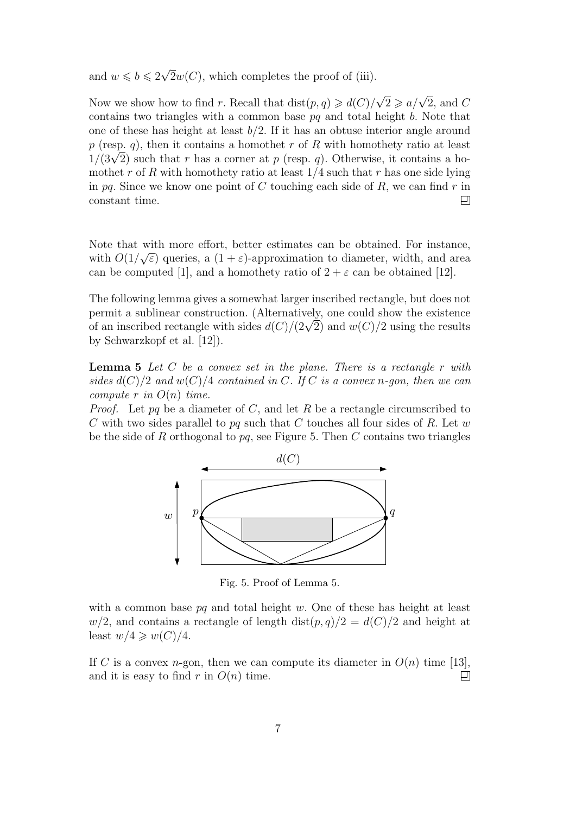and  $w \leqslant b \leqslant 2\sqrt{2}$  $2w(C)$ , which completes the proof of (iii).

Now we show how to find r. Recall that  $dist(p, q) \geq d(C)/\sqrt{2} \geq a/\sqrt{2}$ , and C contains two triangles with a common base  $pq$  and total height b. Note that one of these has height at least  $b/2$ . If it has an obtuse interior angle around p (resp. q), then it contains a homothet r of R with homothety ratio at least p (resp. q), then it contains a nomothet r or R with homothety ratio at least  $1/(3\sqrt{2})$  such that r has a corner at p (resp. q). Otherwise, it contains a homothet r of R with homothety ratio at least  $1/4$  such that r has one side lying in pq. Since we know one point of  $C$  touching each side of  $R$ , we can find  $r$  in constant time. ▣

Note that with more effort, better estimates can be obtained. For instance, with  $O(1/\sqrt{\varepsilon})$  queries, a  $(1+\varepsilon)$ -approximation to diameter, width, and area can be computed [1], and a homothety ratio of  $2 + \varepsilon$  can be obtained [12].

The following lemma gives a somewhat larger inscribed rectangle, but does not permit a sublinear construction. (Alternatively, one could show the existence permit a submear construction. (Alternatively, one could show the existence of an inscribed rectangle with sides  $d(C)/(2\sqrt{2})$  and  $w(C)/2$  using the results by Schwarzkopf et al. [12]).

**Lemma 5** Let C be a convex set in the plane. There is a rectangle r with sides  $d(C)/2$  and  $w(C)/4$  contained in C. If C is a convex n-gon, then we can compute r in  $O(n)$  time.

*Proof.* Let pq be a diameter of C, and let R be a rectangle circumscribed to C with two sides parallel to pq such that C touches all four sides of R. Let w be the side of R orthogonal to  $pq$ , see Figure 5. Then C contains two triangles



Fig. 5. Proof of Lemma 5.

with a common base  $pq$  and total height w. One of these has height at least  $w/2$ , and contains a rectangle of length dist $(p, q)/2 = d(C)/2$  and height at least  $w/4 \geqslant w(C)/4$ .

If C is a convex *n*-gon, then we can compute its diameter in  $O(n)$  time [13], and it is easy to find r in  $O(n)$  time. 囙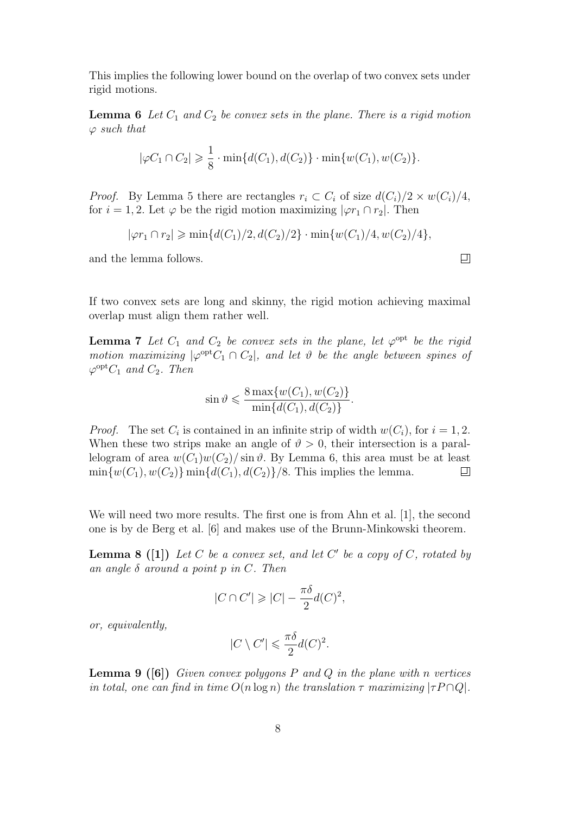This implies the following lower bound on the overlap of two convex sets under rigid motions.

**Lemma 6** Let  $C_1$  and  $C_2$  be convex sets in the plane. There is a rigid motion  $\varphi$  such that

$$
|\varphi C_1 \cap C_2| \geq \frac{1}{8} \cdot \min\{d(C_1), d(C_2)\} \cdot \min\{w(C_1), w(C_2)\}.
$$

*Proof.* By Lemma 5 there are rectangles  $r_i \text{ }\subset C_i$  of size  $d(C_i)/2 \times w(C_i)/4$ , for  $i = 1, 2$ . Let  $\varphi$  be the rigid motion maximizing  $|\varphi r_1 \cap r_2|$ . Then

$$
|\varphi r_1 \cap r_2| \ge \min\{d(C_1)/2, d(C_2)/2\} \cdot \min\{w(C_1)/4, w(C_2)/4\},\
$$

and the lemma follows.

If two convex sets are long and skinny, the rigid motion achieving maximal overlap must align them rather well.

**Lemma 7** Let  $C_1$  and  $C_2$  be convex sets in the plane, let  $\varphi^{\text{opt}}$  be the rigid motion maximizing  $|\varphi^{opt}C_1 \cap C_2|$ , and let  $\vartheta$  be the angle between spines of  $\varphi^{opt}C_1$  and  $C_2$ . Then

$$
\sin \vartheta \leqslant \frac{8 \max\{w(C_1), w(C_2)\}}{\min\{d(C_1), d(C_2)\}}.
$$

*Proof.* The set  $C_i$  is contained in an infinite strip of width  $w(C_i)$ , for  $i = 1, 2$ . When these two strips make an angle of  $\vartheta > 0$ , their intersection is a parallelogram of area  $w(C_1)w(C_2)/\sin\theta$ . By Lemma 6, this area must be at least  $\min\{w(C_1), w(C_2)\}\min\{d(C_1), d(C_2)\}/8$ . This implies the lemma.  $\Box$ 

We will need two more results. The first one is from Ahn et al. [1], the second one is by de Berg et al. [6] and makes use of the Brunn-Minkowski theorem.

**Lemma 8** ([1]) Let C be a convex set, and let C' be a copy of C, rotated by an angle  $\delta$  around a point p in C. Then

$$
|C \cap C'| \geqslant |C| - \frac{\pi \delta}{2} d(C)^2,
$$

or, equivalently,

$$
|C \setminus C'| \leqslant \frac{\pi \delta}{2} d(C)^2.
$$

**Lemma 9 (6)** Given convex polygons P and Q in the plane with n vertices in total, one can find in time  $O(n \log n)$  the translation  $\tau$  maximizing  $|\tau P \cap Q|$ .

 $\Box$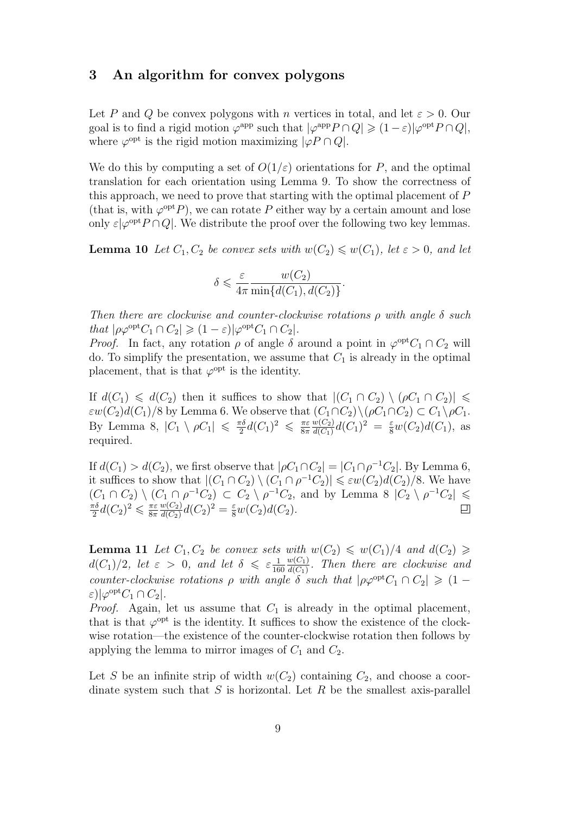## 3 An algorithm for convex polygons

Let P and Q be convex polygons with n vertices in total, and let  $\varepsilon > 0$ . Our goal is to find a rigid motion  $\varphi^{\text{app}}$  such that  $|\varphi^{\text{app}} P \cap Q| \geq (1 - \varepsilon)|\varphi^{\text{opt}} P \cap Q|$ , where  $\varphi^{\text{opt}}$  is the rigid motion maximizing  $|\varphi P \cap Q|$ .

We do this by computing a set of  $O(1/\varepsilon)$  orientations for P, and the optimal translation for each orientation using Lemma 9. To show the correctness of this approach, we need to prove that starting with the optimal placement of P (that is, with  $\varphi^{opt}P$ ), we can rotate P either way by a certain amount and lose only  $\varepsilon |\varphi^{\text{opt}} P \cap Q|$ . We distribute the proof over the following two key lemmas.

**Lemma 10** Let  $C_1, C_2$  be convex sets with  $w(C_2) \leq w(C_1)$ , let  $\varepsilon > 0$ , and let

$$
\delta \leqslant \frac{\varepsilon}{4\pi} \frac{w(C_2)}{\min\{d(C_1), d(C_2)\}}.
$$

Then there are clockwise and counter-clockwise rotations  $\rho$  with angle  $\delta$  such that  $|\rho \varphi^{\text{opt}} C_1 \cap C_2| \geq (1 - \varepsilon) |\varphi^{\text{opt}} C_1 \cap C_2|$ .

*Proof.* In fact, any rotation  $\rho$  of angle  $\delta$  around a point in  $\varphi^{opt}C_1 \cap C_2$  will do. To simplify the presentation, we assume that  $C_1$  is already in the optimal placement, that is that  $\varphi^{\text{opt}}$  is the identity.

If  $d(C_1) \leq d(C_2)$  then it suffices to show that  $|(C_1 \cap C_2) \setminus (\rho C_1 \cap C_2)| \leq$  $\varepsilon w(C_2)d(C_1)/8$  by Lemma 6. We observe that  $(C_1 \cap C_2) \setminus (\rho C_1 \cap C_2) \subset C_1 \setminus \rho C_1$ . By Lemma 8,  $|C_1 \setminus \rho C_1| \leq \frac{\pi \delta}{2}$  $\frac{\pi \delta}{2} d(C_1)^2 \leqslant \frac{\pi \varepsilon}{8 \pi}$ 8π  $w(C_2)$  $\frac{w(C_2)}{d(C_1)}d(C_1)^2 = \frac{\varepsilon}{8}w(C_2)d(C_1)$ , as required.

If  $d(C_1) > d(C_2)$ , we first observe that  $|\rho C_1 \cap C_2| = |C_1 \cap \rho^{-1} C_2|$ . By Lemma 6, it suffices to show that  $|(C_1 \cap C_2) \setminus (C_1 \cap \rho^{-1}C_2)| \leq \varepsilon w(C_2) d(C_2)/8$ . We have  $(C_1 \cap C_2) \setminus (C_1 \cap \rho^{-1}C_2) \subset C_2 \setminus \rho^{-1}C_2$ , and by Lemma 8  $|C_2 \setminus \rho^{-1}C_2| \leq$  $\frac{\pi \delta}{2} d(C_2)^2 \leqslant \frac{\pi \varepsilon}{8 \pi}$  $w(C_2)$ πδ  $\frac{w(C_2)}{d(C_2)}d(C_2)^2 = \frac{\varepsilon}{8}w(C_2)d(C_2).$  $\Box$ 8π

**Lemma 11** Let  $C_1, C_2$  be convex sets with  $w(C_2) \leq w(C_1)/4$  and  $d(C_2) \geq$  $d(C_1)/2$ , let  $\varepsilon > 0$ , and let  $\delta \leqslant \varepsilon \frac{1}{16}$ 160  $w(C_1)$  $\frac{w(C_1)}{d(C_1)}$ . Then there are clockwise and counter-clockwise rotations  $\rho$  with angle  $\delta$  such that  $|\rho\varphi^{opt}C_1 \cap C_2| \geq (1-\rho)\varphi^{opt}C_1$  $\varepsilon)|\varphi^{\text{opt}}C_1\cap C_2|.$ 

*Proof.* Again, let us assume that  $C_1$  is already in the optimal placement, that is that  $\varphi^{opt}$  is the identity. It suffices to show the existence of the clockwise rotation—the existence of the counter-clockwise rotation then follows by applying the lemma to mirror images of  $C_1$  and  $C_2$ .

Let S be an infinite strip of width  $w(C_2)$  containing  $C_2$ , and choose a coordinate system such that S is horizontal. Let R be the smallest axis-parallel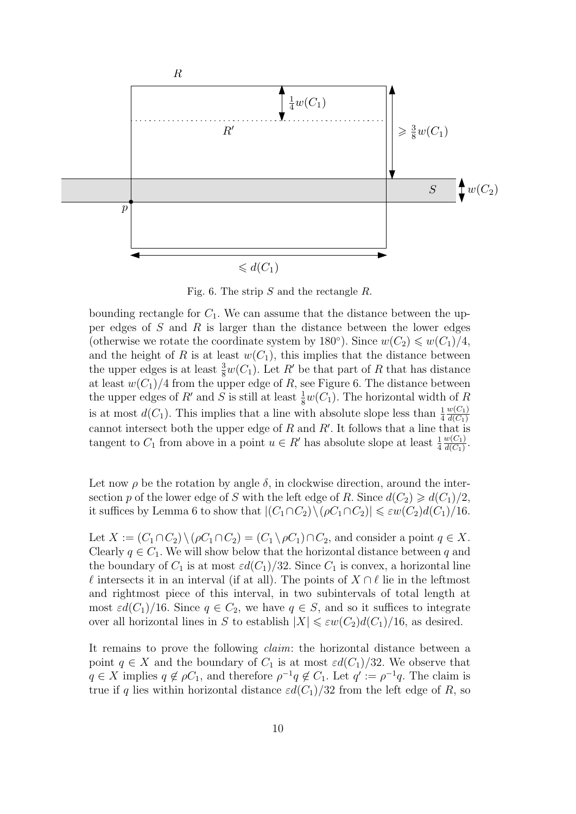

Fig. 6. The strip S and the rectangle R.

bounding rectangle for  $C_1$ . We can assume that the distance between the upper edges of  $S$  and  $R$  is larger than the distance between the lower edges (otherwise we rotate the coordinate system by 180<sup>°</sup>). Since  $w(C_2) \leq w(C_1)/4$ , and the height of R is at least  $w(C_1)$ , this implies that the distance between the upper edges is at least  $\frac{3}{8}w(C_1)$ . Let R' be that part of R that has distance at least  $w(C_1)/4$  from the upper edge of R, see Figure 6. The distance between the upper edges of  $R'$  and S is still at least  $\frac{1}{8}w(C_1)$ . The horizontal width of R is at most  $d(C_1)$ . This implies that a line with absolute slope less than  $\frac{1}{4}$  $w(C_1)$  $d(C_1)$ cannot intersect both the upper edge of  $R$  and  $R'$ . It follows that a line that is tangent to  $C_1$  from above in a point  $u \in R'$  has absolute slope at least  $\frac{1}{4}$  $w(C_1)$  $\frac{w(C_1)}{d(C_1)}$ .

Let now  $\rho$  be the rotation by angle  $\delta$ , in clockwise direction, around the intersection p of the lower edge of S with the left edge of R. Since  $d(C_2) \geq d(C_1)/2$ , it suffices by Lemma 6 to show that  $|(C_1 \cap C_2) \setminus (\rho C_1 \cap C_2)| \leq \varepsilon w(C_2) d(C_1)/16$ .

Let  $X := (C_1 \cap C_2) \setminus (\rho C_1 \cap C_2) = (C_1 \setminus \rho C_1) \cap C_2$ , and consider a point  $q \in X$ . Clearly  $q \in C_1$ . We will show below that the horizontal distance between q and the boundary of  $C_1$  is at most  $\varepsilon d(C_1)/32$ . Since  $C_1$  is convex, a horizontal line  $\ell$  intersects it in an interval (if at all). The points of  $X \cap \ell$  lie in the leftmost and rightmost piece of this interval, in two subintervals of total length at most  $\varepsilon d(C_1)/16$ . Since  $q \in C_2$ , we have  $q \in S$ , and so it suffices to integrate over all horizontal lines in S to establish  $|X| \leq \varepsilon w(C_2)d(C_1)/16$ , as desired.

It remains to prove the following claim: the horizontal distance between a point  $q \in X$  and the boundary of  $C_1$  is at most  $\varepsilon d(C_1)/32$ . We observe that  $q \in X$  implies  $q \notin \rho C_1$ , and therefore  $\rho^{-1} q \notin C_1$ . Let  $q' := \rho^{-1} q$ . The claim is true if q lies within horizontal distance  $\varepsilon d(C_1)/32$  from the left edge of R, so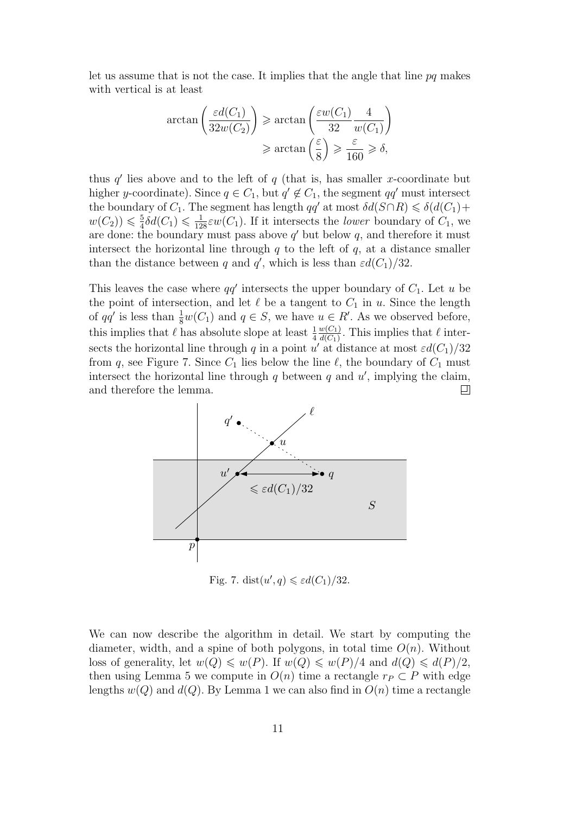let us assume that is not the case. It implies that the angle that line  $pq$  makes with vertical is at least

$$
\arctan\left(\frac{\varepsilon d(C_1)}{32w(C_2)}\right) \ge \arctan\left(\frac{\varepsilon w(C_1)}{32} \frac{4}{w(C_1)}\right)
$$

$$
\ge \arctan\left(\frac{\varepsilon}{8}\right) \ge \frac{\varepsilon}{160} \ge \delta,
$$

thus  $q'$  lies above and to the left of  $q$  (that is, has smaller x-coordinate but higher y-coordinate). Since  $q \in C_1$ , but  $q' \notin C_1$ , the segment  $qq'$  must intersect the boundary of  $C_1$ . The segment has length  $qq'$  at most  $\delta d(S \cap R) \leq \delta (d(C_1) +$  $w(C_2)$ )  $\leqslant \frac{5}{4}$  $\frac{5}{4}\delta d(C_1) \leq \frac{1}{128}\varepsilon w(C_1)$ . If it intersects the *lower* boundary of  $C_1$ , we are done: the boundary must pass above  $q'$  but below q, and therefore it must intersect the horizontal line through  $q$  to the left of  $q$ , at a distance smaller than the distance between q and q', which is less than  $\varepsilon d(C_1)/32$ .

This leaves the case where  $qq'$  intersects the upper boundary of  $C_1$ . Let u be the point of intersection, and let  $\ell$  be a tangent to  $C_1$  in u. Since the length of  $qq'$  is less than  $\frac{1}{8}w(C_1)$  and  $q \in S$ , we have  $u \in R'$ . As we observed before,  $w(C_1)$ this implies that  $\ell$  has absolute slope at least  $\frac{1}{4}$  $\frac{w(C_1)}{d(C_1)}$ . This implies that  $\ell$  intersects the horizontal line through q in a point  $u'$  at distance at most  $\varepsilon d(C_1)/32$ from q, see Figure 7. Since  $C_1$  lies below the line  $\ell$ , the boundary of  $C_1$  must intersect the horizontal line through  $q$  between  $q$  and  $u'$ , implying the claim, and therefore the lemma. 口



Fig. 7. dist $(u', q) \leq \varepsilon d(C_1)/32$ .

We can now describe the algorithm in detail. We start by computing the diameter, width, and a spine of both polygons, in total time  $O(n)$ . Without loss of generality, let  $w(Q) \leq w(P)$ . If  $w(Q) \leq w(P)/4$  and  $d(Q) \leq d(P)/2$ , then using Lemma 5 we compute in  $O(n)$  time a rectangle  $r_P \subset P$  with edge lengths  $w(Q)$  and  $d(Q)$ . By Lemma 1 we can also find in  $O(n)$  time a rectangle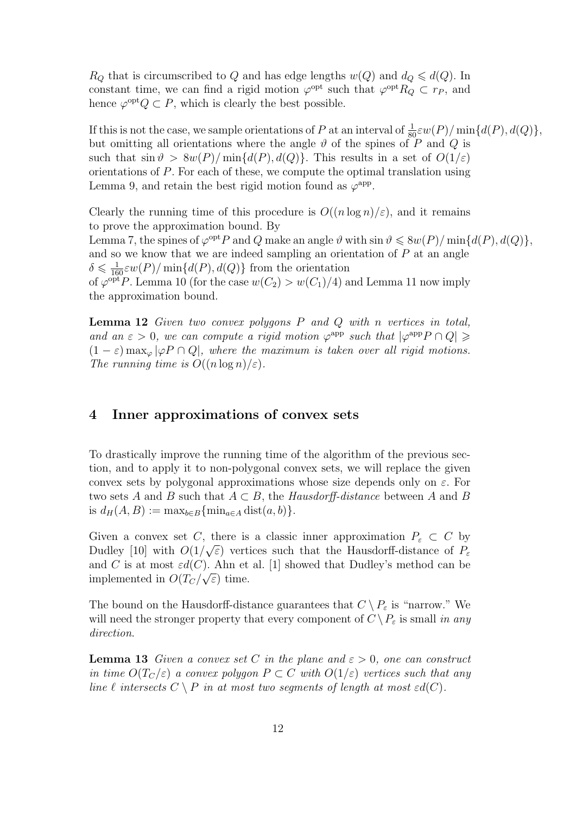$R_Q$  that is circumscribed to Q and has edge lengths  $w(Q)$  and  $d_Q \leq d(Q)$ . In constant time, we can find a rigid motion  $\varphi^{\text{opt}}$  such that  $\varphi^{\text{opt}} R_Q \subset r_P$ , and hence  $\varphi^{opt}Q \subset P$ , which is clearly the best possible.

If this is not the case, we sample orientations of P at an interval of  $\frac{1}{80}\varepsilon w(P)/\min\{d(P), d(Q)\}\,$ but omitting all orientations where the angle  $\vartheta$  of the spines of P and Q is such that  $\sin \vartheta > 8w(P)/\min\{d(P), d(Q)\}\)$ . This results in a set of  $O(1/\varepsilon)$ orientations of P. For each of these, we compute the optimal translation using Lemma 9, and retain the best rigid motion found as  $\varphi^{\text{app}}$ .

Clearly the running time of this procedure is  $O((n \log n)/\varepsilon)$ , and it remains to prove the approximation bound. By

Lemma 7, the spines of  $\varphi^{opt}P$  and Q make an angle  $\vartheta$  with  $\sin \vartheta \leq 8w(P)/\min\{d(P), d(Q)\}\,$ and so we know that we are indeed sampling an orientation of  $P$  at an angle  $\delta \leq \frac{1}{160} \varepsilon w(P)/\min\{d(P), d(Q)\}\)$  from the orientation of  $\varphi^{\text{opt}}P$ . Lemma 10 (for the case  $w(C_2) > w(C_1)/4$ ) and Lemma 11 now imply

the approximation bound.

**Lemma 12** Given two convex polygons  $P$  and  $Q$  with n vertices in total, and an  $\varepsilon > 0$ , we can compute a rigid motion  $\varphi^{\text{app}}$  such that  $|\varphi^{\text{app}} P \cap Q| \geq$  $(1 - \varepsilon)$  max<sub>∞</sub>  $|\varphi P \cap Q|$ , where the maximum is taken over all rigid motions. The running time is  $O((n \log n)/\varepsilon)$ .

## 4 Inner approximations of convex sets

To drastically improve the running time of the algorithm of the previous section, and to apply it to non-polygonal convex sets, we will replace the given convex sets by polygonal approximations whose size depends only on  $\varepsilon$ . For two sets A and B such that  $A \subset B$ , the Hausdorff-distance between A and B is  $d_H(A, B) := \max_{b \in B} {\{\min_{a \in A} \text{dist}(a, b)\}.}$ 

Given a convex set C, there is a classic inner approximation  $P_{\varepsilon} \subset C$  by Dudley [10] with  $O(1/\sqrt{\varepsilon})$  vertices such that the Hausdorff-distance of  $P_{\varepsilon}$ and C is at most  $\varepsilon d(C)$ . Ahn et al. [1] showed that Dudley's method can be implemented in  $O(T_C/\sqrt{\varepsilon})$  time.

The bound on the Hausdorff-distance guarantees that  $C \setminus P_{\varepsilon}$  is "narrow." We will need the stronger property that every component of  $C \setminus P_{\varepsilon}$  is small in any direction.

**Lemma 13** Given a convex set C in the plane and  $\varepsilon > 0$ , one can construct in time  $O(T_C/\varepsilon)$  a convex polygon  $P \subset C$  with  $O(1/\varepsilon)$  vertices such that any line  $\ell$  intersects  $C \setminus P$  in at most two segments of length at most  $\varepsilon d(C)$ .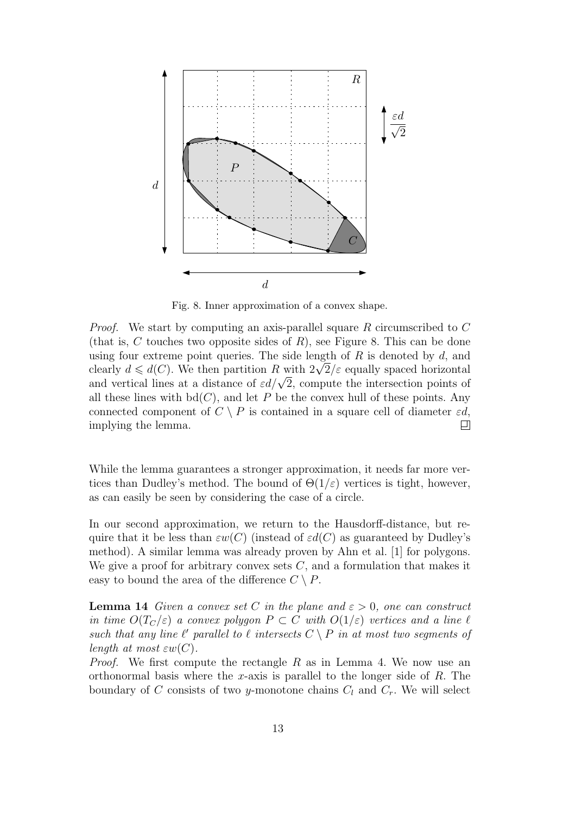

Fig. 8. Inner approximation of a convex shape.

Proof. We start by computing an axis-parallel square R circumscribed to C (that is, C touches two opposite sides of  $R$ ), see Figure 8. This can be done using four extreme point queries. The side length of  $R$  is denoted by  $d$ , and using four extreme point queries. The side length of R is denoted by a, and<br>clearly  $d \leq d(C)$ . We then partition R with  $2\sqrt{2}/\varepsilon$  equally spaced horizontal clearly  $a \le a(C)$ , we then partition R with  $2\sqrt{2}/\varepsilon$  equally spaced norizontal<br>and vertical lines at a distance of  $\varepsilon d/\sqrt{2}$ , compute the intersection points of all these lines with  $bd(C)$ , and let P be the convex hull of these points. Any connected component of  $C \setminus P$  is contained in a square cell of diameter  $\varepsilon d$ , implying the lemma. ▣

While the lemma guarantees a stronger approximation, it needs far more vertices than Dudley's method. The bound of  $\Theta(1/\varepsilon)$  vertices is tight, however, as can easily be seen by considering the case of a circle.

In our second approximation, we return to the Hausdorff-distance, but require that it be less than  $\varepsilon w(C)$  (instead of  $\varepsilon d(C)$ ) as guaranteed by Dudley's method). A similar lemma was already proven by Ahn et al. [1] for polygons. We give a proof for arbitrary convex sets  $C$ , and a formulation that makes it easy to bound the area of the difference  $C \setminus P$ .

**Lemma 14** Given a convex set C in the plane and  $\varepsilon > 0$ , one can construct in time  $O(T_C/\varepsilon)$  a convex polygon  $P \subset C$  with  $O(1/\varepsilon)$  vertices and a line  $\ell$ such that any line  $\ell'$  parallel to  $\ell$  intersects  $C \setminus P$  in at most two segments of length at most  $\varepsilon w(C)$ .

*Proof.* We first compute the rectangle  $R$  as in Lemma 4. We now use an orthonormal basis where the x-axis is parallel to the longer side of  $R$ . The boundary of C consists of two y-monotone chains  $C_l$  and  $C_r$ . We will select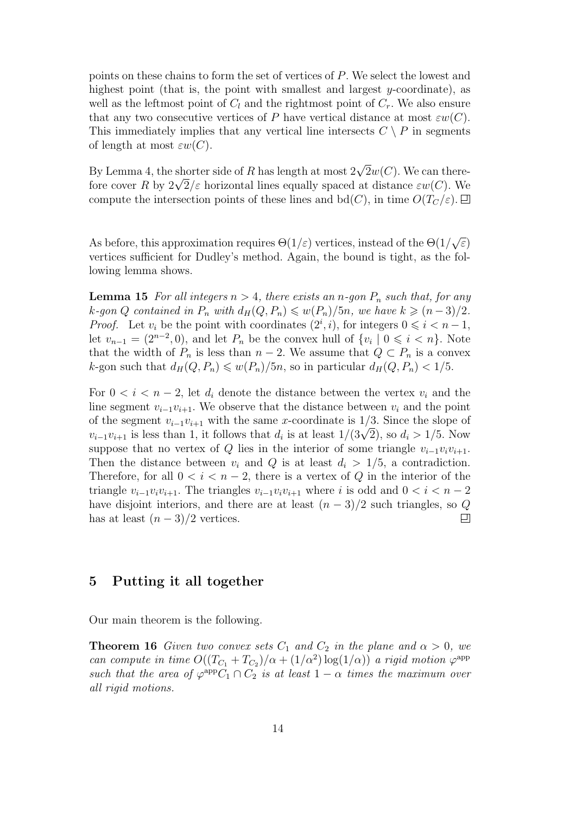points on these chains to form the set of vertices of P. We select the lowest and highest point (that is, the point with smallest and largest y-coordinate), as well as the leftmost point of  $C_l$  and the rightmost point of  $C_r$ . We also ensure that any two consecutive vertices of P have vertical distance at most  $\varepsilon w(C)$ . This immediately implies that any vertical line intersects  $C \setminus P$  in segments of length at most  $\varepsilon w(C)$ .

By Lemma 4, the shorter side of R has length at most  $2\sqrt{2}w(C)$ . We can thereby Lemma 4, the shorter side of R has length at most  $2\sqrt{zw(C)}$ . We can there-<br>fore cover R by  $2\sqrt{2}/\varepsilon$  horizontal lines equally spaced at distance  $\varepsilon w(C)$ . We compute the intersection points of these lines and  $\text{bd}(C)$ , in time  $O(T_C/\varepsilon)$ .

As before, this approximation requires  $\Theta(1/\varepsilon)$  vertices, instead of the  $\Theta(1/\varepsilon)$ √ ε) vertices sufficient for Dudley's method. Again, the bound is tight, as the following lemma shows.

**Lemma 15** For all integers  $n > 4$ , there exists an n-gon  $P_n$  such that, for any k-gon Q contained in  $P_n$  with  $d_H(Q, P_n) \leq w(P_n)/5n$ , we have  $k \geq (n-3)/2$ . *Proof.* Let  $v_i$  be the point with coordinates  $(2^i, i)$ , for integers  $0 \leq i \leq n-1$ , let  $v_{n-1} = (2^{n-2}, 0)$ , and let  $P_n$  be the convex hull of  $\{v_i \mid 0 \leq i \leq n\}$ . Note that the width of  $P_n$  is less than  $n-2$ . We assume that  $Q \subset P_n$  is a convex k-gon such that  $d_H(Q, P_n) \leq w(P_n)/5n$ , so in particular  $d_H(Q, P_n) < 1/5$ .

For  $0 < i < n-2$ , let  $d_i$  denote the distance between the vertex  $v_i$  and the line segment  $v_{i-1}v_{i+1}$ . We observe that the distance between  $v_i$  and the point of the segment  $v_{i-1}v_{i+1}$  with the same x-coordinate is 1/3. Since the slope of or the segment  $v_{i-1}v_{i+1}$  with the same x-coordinate is 1/3. Since the slope of  $v_{i-1}v_{i+1}$  is less than 1, it follows that  $d_i$  is at least  $1/(3\sqrt{2})$ , so  $d_i > 1/5$ . Now suppose that no vertex of Q lies in the interior of some triangle  $v_{i-1}v_iv_{i+1}$ . Then the distance between  $v_i$  and Q is at least  $d_i > 1/5$ , a contradiction. Therefore, for all  $0 < i < n-2$ , there is a vertex of Q in the interior of the triangle  $v_{i-1}v_iv_{i+1}$ . The triangles  $v_{i-1}v_iv_{i+1}$  where i is odd and  $0 < i < n-2$ have disjoint interiors, and there are at least  $(n-3)/2$  such triangles, so Q has at least  $(n-3)/2$  vertices. ▣

# 5 Putting it all together

Our main theorem is the following.

**Theorem 16** Given two convex sets  $C_1$  and  $C_2$  in the plane and  $\alpha > 0$ , we can compute in time  $O((T_{C_1} + T_{C_2})/\alpha + (1/\alpha^2) \log(1/\alpha))$  a rigid motion  $\varphi^{\text{app}}$ such that the area of  $\varphi^{\text{app}}C_1 \cap C_2$  is at least  $1 - \alpha$  times the maximum over all rigid motions.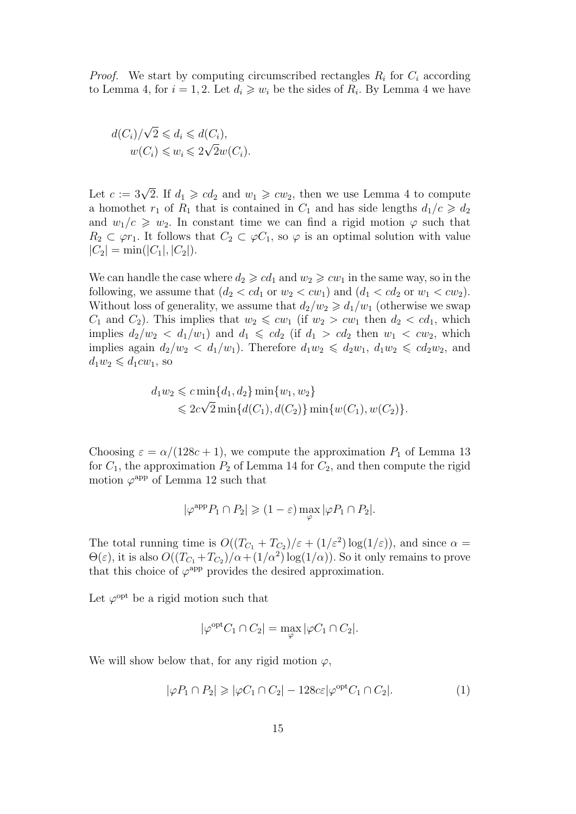*Proof.* We start by computing circumscribed rectangles  $R_i$  for  $C_i$  according to Lemma 4, for  $i = 1, 2$ . Let  $d_i \geqslant w_i$  be the sides of  $R_i$ . By Lemma 4 we have

$$
d(C_i)/\sqrt{2} \leq d_i \leq d(C_i),
$$
  

$$
w(C_i) \leq w_i \leq 2\sqrt{2}w(C_i).
$$

Let  $c := 3\sqrt{2}$ . If  $d_1 \geqslant cd_2$  and  $w_1 \geqslant cw_2$ , then we use Lemma 4 to compute a homothet  $r_1$  of  $R_1$  that is contained in  $C_1$  and has side lengths  $d_1/c \geqslant d_2$ and  $w_1/c \geq w_2$ . In constant time we can find a rigid motion  $\varphi$  such that  $R_2 \subset \varphi r_1$ . It follows that  $C_2 \subset \varphi C_1$ , so  $\varphi$  is an optimal solution with value  $|C_2| = \min(|C_1|, |C_2|).$ 

We can handle the case where  $d_2 \geqslant c d_1$  and  $w_2 \geqslant c w_1$  in the same way, so in the following, we assume that  $(d_2 < cd_1$  or  $w_2 < cw_1)$  and  $(d_1 < cd_2$  or  $w_1 < cw_2)$ . Without loss of generality, we assume that  $d_2/w_2 \geq d_1/w_1$  (otherwise we swap  $C_1$  and  $C_2$ ). This implies that  $w_2 \leqslant cw_1$  (if  $w_2 > cw_1$  then  $d_2 < cd_1$ , which implies  $d_2/w_2 < d_1/w_1$  and  $d_1 \leqslant cd_2$  (if  $d_1 > cd_2$  then  $w_1 < cw_2$ , which implies again  $d_2/w_2 < d_1/w_1$ ). Therefore  $d_1w_2 \leq d_2w_1$ ,  $d_1w_2 \leqslant cd_2w_2$ , and  $d_1w_2 \leqslant d_1cw_1$ , so

$$
d_1 w_2 \leqslant c \min\{d_1, d_2\} \min\{w_1, w_2\}
$$
  
\$\leqslant 2c\sqrt{2} \min\{d(C\_1), d(C\_2)\} \min\{w(C\_1), w(C\_2)\}\$.

Choosing  $\varepsilon = \alpha/(128c + 1)$ , we compute the approximation  $P_1$  of Lemma 13 for  $C_1$ , the approximation  $P_2$  of Lemma 14 for  $C_2$ , and then compute the rigid motion  $\varphi^{\text{app}}$  of Lemma 12 such that

$$
|\varphi^{\text{app}} P_1 \cap P_2| \geq (1 - \varepsilon) \max_{\varphi} |\varphi P_1 \cap P_2|.
$$

The total running time is  $O((T_{C_1} + T_{C_2})/\varepsilon + (1/\varepsilon^2) \log(1/\varepsilon))$ , and since  $\alpha =$  $\Theta(\varepsilon)$ , it is also  $O((T_{C_1}+T_{C_2})/\alpha+(1/\alpha^2)\log(1/\alpha))$ . So it only remains to prove that this choice of  $\varphi^{\text{app}}$  provides the desired approximation.

Let  $\varphi^{\text{opt}}$  be a rigid motion such that

$$
|\varphi^{\text{opt}} C_1 \cap C_2| = \max_{\varphi} |\varphi C_1 \cap C_2|.
$$

We will show below that, for any rigid motion  $\varphi$ ,

$$
|\varphi P_1 \cap P_2| \ge |\varphi C_1 \cap C_2| - 128c\varepsilon |\varphi^{\text{opt}} C_1 \cap C_2|. \tag{1}
$$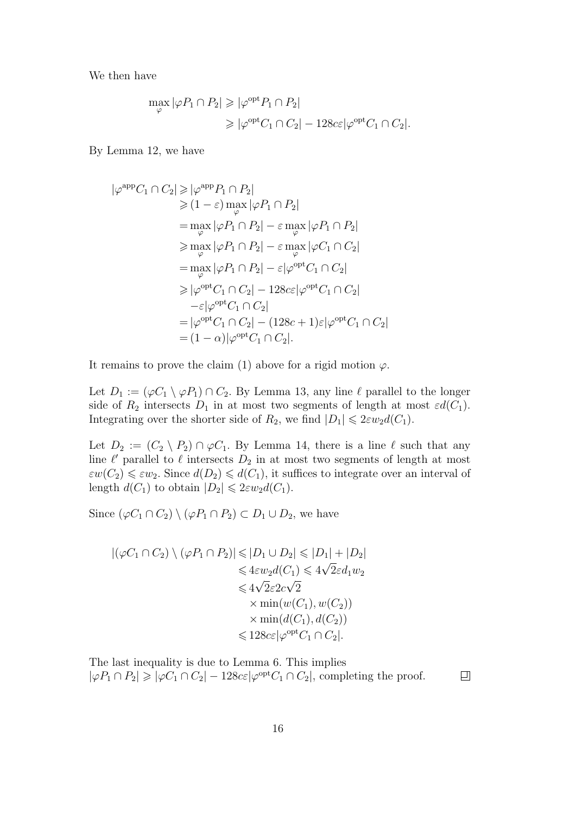We then have

$$
\max_{\varphi} |\varphi P_1 \cap P_2| \geqslant |\varphi^{\text{opt}} P_1 \cap P_2|
$$
  

$$
\geqslant |\varphi^{\text{opt}} C_1 \cap C_2| - 128c \varepsilon |\varphi^{\text{opt}} C_1 \cap C_2|.
$$

By Lemma 12, we have

$$
|\varphi^{\text{app}}C_1 \cap C_2| \ge |\varphi^{\text{app}}P_1 \cap P_2|
$$
  
\n
$$
\ge (1 - \varepsilon) \max_{\varphi} |\varphi P_1 \cap P_2|
$$
  
\n
$$
= \max_{\varphi} |\varphi P_1 \cap P_2| - \varepsilon \max_{\varphi} |\varphi P_1 \cap P_2|
$$
  
\n
$$
\ge \max_{\varphi} |\varphi P_1 \cap P_2| - \varepsilon \max_{\varphi} |\varphi C_1 \cap C_2|
$$
  
\n
$$
= \max_{\varphi} |\varphi P_1 \cap P_2| - \varepsilon |\varphi^{\text{opt}}C_1 \cap C_2|
$$
  
\n
$$
\ge |\varphi^{\text{opt}}C_1 \cap C_2| - 128c\varepsilon |\varphi^{\text{opt}}C_1 \cap C_2|
$$
  
\n
$$
= |\varphi^{\text{opt}}C_1 \cap C_2| - (128c + 1)\varepsilon |\varphi^{\text{opt}}C_1 \cap C_2|
$$
  
\n
$$
= (1 - \alpha) |\varphi^{\text{opt}}C_1 \cap C_2|.
$$

It remains to prove the claim (1) above for a rigid motion  $\varphi$ .

Let  $D_1 := (\varphi C_1 \setminus \varphi P_1) \cap C_2$ . By Lemma 13, any line  $\ell$  parallel to the longer side of  $R_2$  intersects  $D_1$  in at most two segments of length at most  $\varepsilon d(C_1)$ . Integrating over the shorter side of  $R_2$ , we find  $|D_1| \leq 2\varepsilon w_2 d(C_1)$ .

Let  $D_2 := (C_2 \setminus P_2) \cap \varphi C_1$ . By Lemma 14, there is a line  $\ell$  such that any line  $\ell'$  parallel to  $\ell$  intersects  $D_2$  in at most two segments of length at most  $\epsilon w(C_2) \leq \epsilon w_2$ . Since  $d(D_2) \leq d(C_1)$ , it suffices to integrate over an interval of length  $d(C_1)$  to obtain  $|D_2| \leq 2\varepsilon w_2 d(C_1)$ .

Since  $(\varphi C_1 \cap C_2) \setminus (\varphi P_1 \cap P_2) \subset D_1 \cup D_2$ , we have

$$
|(\varphi C_1 \cap C_2) \setminus (\varphi P_1 \cap P_2)| \leq |D_1 \cup D_2| \leq |D_1| + |D_2|
$$
  
\n
$$
\leq 4\epsilon w_2 d(C_1) \leq 4\sqrt{2}\epsilon d_1 w_2
$$
  
\n
$$
\leq 4\sqrt{2}\epsilon 2c\sqrt{2}
$$
  
\n
$$
\times \min(w(C_1), w(C_2))
$$
  
\n
$$
\times \min(d(C_1), d(C_2))
$$
  
\n
$$
\leq 128c\epsilon |\varphi^{\text{opt}} C_1 \cap C_2|.
$$

The last inequality is due to Lemma 6. This implies  $|\varphi P_1 \cap P_2| \geq |\varphi C_1 \cap C_2| - 128c\varepsilon |\varphi^{\text{opt}} C_1 \cap C_2|$ , completing the proof.

 $\Box$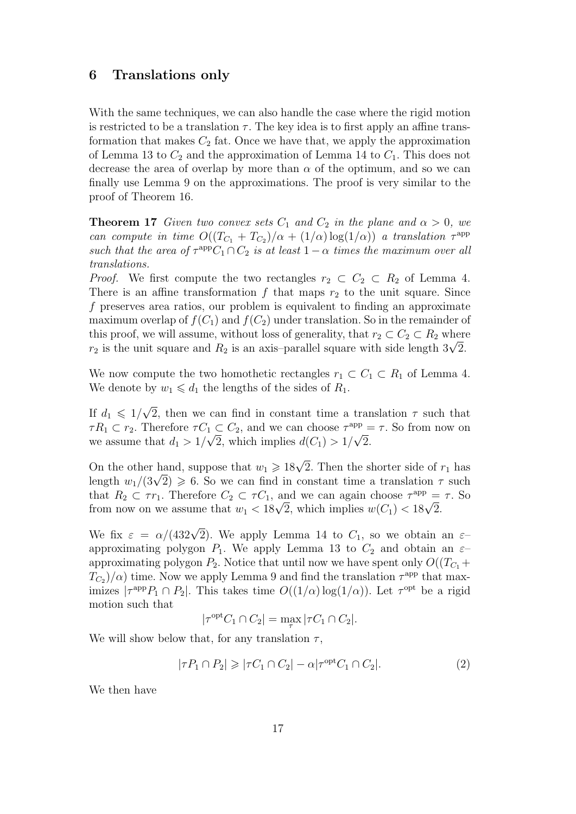## 6 Translations only

With the same techniques, we can also handle the case where the rigid motion is restricted to be a translation  $\tau$ . The key idea is to first apply an affine transformation that makes  $C_2$  fat. Once we have that, we apply the approximation of Lemma 13 to  $C_2$  and the approximation of Lemma 14 to  $C_1$ . This does not decrease the area of overlap by more than  $\alpha$  of the optimum, and so we can finally use Lemma 9 on the approximations. The proof is very similar to the proof of Theorem 16.

**Theorem 17** Given two convex sets  $C_1$  and  $C_2$  in the plane and  $\alpha > 0$ , we can compute in time  $O((T_{C_1} + T_{C_2})/\alpha + (1/\alpha) \log(1/\alpha))$  a translation  $\tau^{\text{app}}$ such that the area of  $\tau^{\text{app}}C_1 \cap C_2$  is at least  $1 - \alpha$  times the maximum over all translations.

*Proof.* We first compute the two rectangles  $r_2 \subset C_2 \subset R_2$  of Lemma 4. There is an affine transformation  $f$  that maps  $r_2$  to the unit square. Since f preserves area ratios, our problem is equivalent to finding an approximate maximum overlap of  $f(C_1)$  and  $f(C_2)$  under translation. So in the remainder of this proof, we will assume, without loss of generality, that  $r_2 \subset C_2 \subset R_2$  where this proof, we will assume, without loss of generality, that  $r_2 \,\subset C_2 \,\subset R_2$  where  $r_2$  is the unit square and  $R_2$  is an axis–parallel square with side length  $3\sqrt{2}$ .

We now compute the two homothetic rectangles  $r_1 \subset C_1 \subset R_1$  of Lemma 4. We denote by  $w_1 \leq d_1$  the lengths of the sides of  $R_1$ .

If  $d_1 \leqslant 1/\sqrt{2}$ 2, then we can find in constant time a translation  $\tau$  such that  $\tau R_1 \subset r_2$ . Therefore  $\tau C_1 \subset C_2$ , and we can choose  $\tau^{\text{app}} = \tau$ . So from now on we assume that  $d_1 > 1/\sqrt{2}$ , which implies  $d(C_1) > 1/\sqrt{2}$ .

On the other hand, suppose that  $w_1 \geq 18\sqrt{2}$ . Then the shorter side of  $r_1$  has On the other hand, suppose that  $w_1 \ge 18\sqrt{2}$ . Then the shorter side of  $r_1$  has<br>length  $w_1/(3\sqrt{2}) \ge 6$ . So we can find in constant time a translation  $\tau$  such that  $R_2 \subset \tau r_1$ . Therefore  $C_2 \subset \tau C_1$ , and we can again choose  $\tau^{\text{app}} = \tau$ . So that  $K_2 \subset \tau r_1$ . Therefore  $C_2 \subset \tau C_1$ , and we can again choose  $\tau^{\text{app}}$  = from now on we assume that  $w_1 < 18\sqrt{2}$ , which implies  $w(C_1) < 18\sqrt{2}$ .

We fix  $\varepsilon = \alpha/(432\sqrt{2})$ . We apply Lemma 14 to  $C_1$ , so we obtain an  $\varepsilon$ approximating polygon  $P_1$ . We apply Lemma 13 to  $C_2$  and obtain an  $\varepsilon$ approximating polygon  $P_2$ . Notice that until now we have spent only  $O((T_{C_1} +$  $T_{C_2}$ / $\alpha$ ) time. Now we apply Lemma 9 and find the translation  $\tau^{\text{app}}$  that maximizes  $|\tau^{\text{app}} P_1 \cap P_2|$ . This takes time  $O((1/\alpha) \log(1/\alpha))$ . Let  $\tau^{\text{opt}}$  be a rigid motion such that

$$
|\tau^{\text{opt}} C_1 \cap C_2| = \max_{\tau} |\tau C_1 \cap C_2|.
$$

We will show below that, for any translation  $\tau$ ,

$$
|\tau P_1 \cap P_2| \ge |\tau C_1 \cap C_2| - \alpha |\tau^{\text{opt}} C_1 \cap C_2|.
$$
 (2)

We then have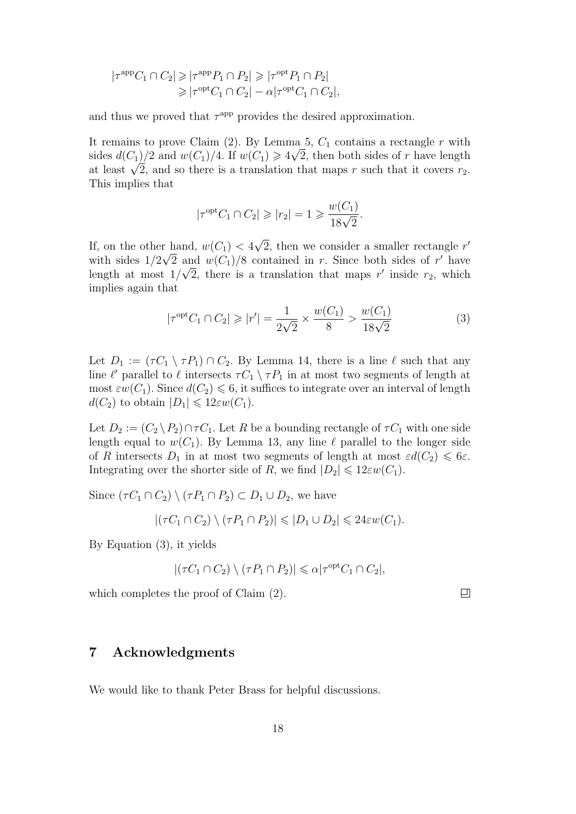$$
|\tau^{\text{app}} C_1 \cap C_2| \geq |\tau^{\text{app}} P_1 \cap P_2| \geq |\tau^{\text{opt}} P_1 \cap P_2|
$$
  
 
$$
\geq |\tau^{\text{opt}} C_1 \cap C_2| - \alpha |\tau^{\text{opt}} C_1 \cap C_2|,
$$

and thus we proved that  $\tau^{\text{app}}$  provides the desired approximation.

It remains to prove Claim (2). By Lemma 5,  $C_1$  contains a rectangle r with sides  $d(C_1)/2$  and  $w(C_1)/4$ . If  $w(C_1) \geq 4\sqrt{2}$ , then both sides of r have length sides  $a(\text{C}_1)/2$  and  $w(\text{C}_1)/4$ . If  $w(\text{C}_1) \ge 4\sqrt{2}$ , then both sides of r have length at least  $\sqrt{2}$ , and so there is a translation that maps r such that it covers  $r_2$ . This implies that

$$
|\tau^{\text{opt}} C_1 \cap C_2| \geqslant |r_2| = 1 \geqslant \frac{w(C_1)}{18\sqrt{2}}.
$$

If, on the other hand,  $w(C_1)$  < 4 √ r hand,  $w(C_1) < 4\sqrt{2}$ , then we consider a smaller rectangle r' with sides  $1/2\sqrt{2}$  and  $w(C_1)/8$  contained in r. Since both sides of r' have length at most  $1/\sqrt{2}$ , there is a translation that maps r' inside r<sub>2</sub>, which implies again that

$$
|\tau^{\text{opt}}C_1 \cap C_2| \geqslant |r'| = \frac{1}{2\sqrt{2}} \times \frac{w(C_1)}{8} > \frac{w(C_1)}{18\sqrt{2}}
$$
(3)

Let  $D_1 := (\tau C_1 \setminus \tau P_1) \cap C_2$ . By Lemma 14, there is a line  $\ell$  such that any line  $\ell'$  parallel to  $\ell$  intersects  $\tau C_1 \setminus \tau P_1$  in at most two segments of length at most  $\varepsilon w(C_1)$ . Since  $d(C_2) \leq 6$ , it suffices to integrate over an interval of length  $d(C_2)$  to obtain  $|D_1| \leq 12\varepsilon w(C_1)$ .

Let  $D_2 := (C_2 \setminus P_2) \cap \tau C_1$ . Let R be a bounding rectangle of  $\tau C_1$  with one side length equal to  $w(C_1)$ . By Lemma 13, any line  $\ell$  parallel to the longer side of R intersects  $D_1$  in at most two segments of length at most  $\varepsilon d(C_2) \leqslant 6\varepsilon$ . Integrating over the shorter side of R, we find  $|D_2| \leq 12\varepsilon w(C_1)$ .

Since  $(\tau C_1 \cap C_2) \setminus (\tau P_1 \cap P_2) \subset D_1 \cup D_2$ , we have

$$
|(\tau C_1 \cap C_2) \setminus (\tau P_1 \cap P_2)| \leqslant |D_1 \cup D_2| \leqslant 24\varepsilon w(C_1).
$$

By Equation (3), it yields

$$
|(\tau C_1 \cap C_2) \setminus (\tau P_1 \cap P_2)| \leq \alpha |\tau^{\text{opt}} C_1 \cap C_2|,
$$

which completes the proof of Claim (2).

 $\Box$ 

## 7 Acknowledgments

We would like to thank Peter Brass for helpful discussions.